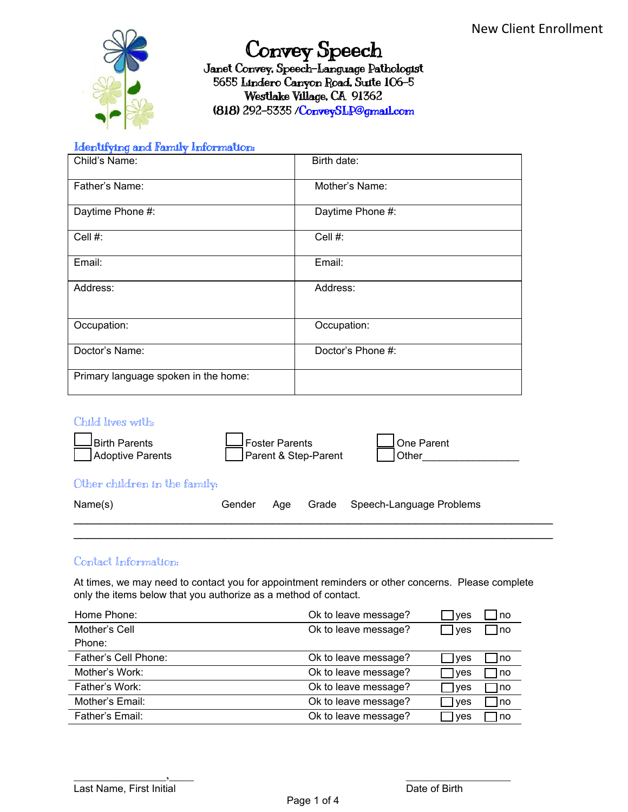

**Convey Speech**<br>Janet Convey, Speech-Language Pathologist 5655 Lindero Canyon Road, Suite 106-5 Westlake Village, CA 91362 (818) 292-5335 /ConveySLP@gmail.com

# Identifying and Family Information:

| Child's Name:                        | Birth date:       |
|--------------------------------------|-------------------|
| Father's Name:                       | Mother's Name:    |
| Daytime Phone #:                     | Daytime Phone #:  |
| Cell #:                              | Cell #:           |
| Email:                               | Email:            |
| Address:                             | Address:          |
| Occupation:                          | Occupation:       |
| Doctor's Name:                       | Doctor's Phone #: |
| Primary language spoken in the home: |                   |

# Child lives with:

| JBirth Parents<br>Adoptive Parents |        | <b>Foster Parents</b> | Parent & Step-Parent | One Parent<br>Other      |
|------------------------------------|--------|-----------------------|----------------------|--------------------------|
| Other children in the family:      |        |                       |                      |                          |
| Name(s)                            | Gender | Age                   | Grade                | Speech-Language Problems |
|                                    |        |                       |                      |                          |

# Contact Information:

At times, we may need to contact you for appointment reminders or other concerns. Please complete only the items below that you authorize as a method of contact.

| Home Phone:          | Ok to leave message? | <b>I</b> ves | no   |
|----------------------|----------------------|--------------|------|
| Mother's Cell        | Ok to leave message? | <b>I</b> ves | Ino  |
| Phone:               |                      |              |      |
| Father's Cell Phone: | Ok to leave message? | <b>I</b> ves | no l |
| Mother's Work:       | Ok to leave message? | l ves        | no   |
| Father's Work:       | Ok to leave message? | <b>Ives</b>  | 1no  |
| Mother's Email:      | Ok to leave message? | ves          | l no |
| Father's Email:      | Ok to leave message? | ves          | no   |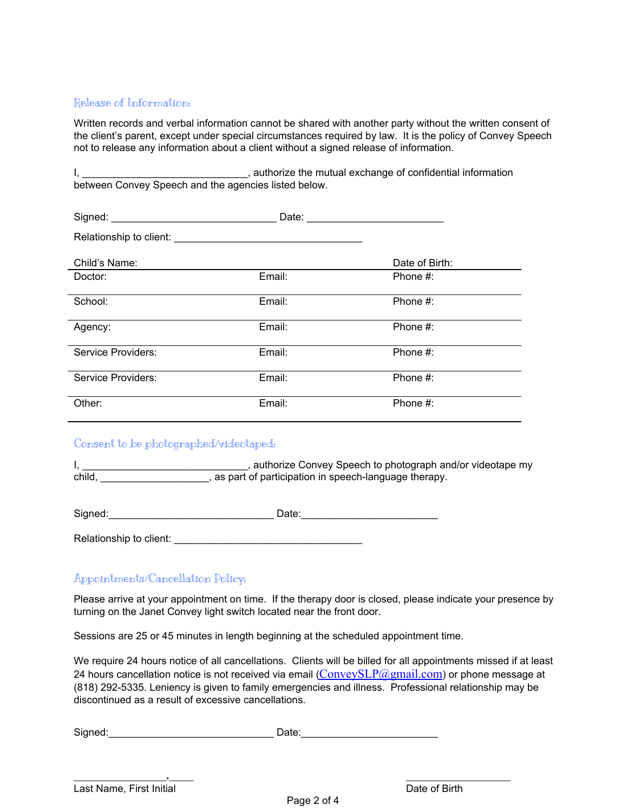### Release of Information:

Written records and verbal information cannot be shared with another party without the written consent of the client's parent, except under special circumstances required by law. It is the policy of Convey Speech not to release any information about a client without a signed release of information.

I, authorize the mutual exchange of confidential information between Convey Speech and the agencies listed below.

|                                                                                                                                                                                                                                | Date:  |                |
|--------------------------------------------------------------------------------------------------------------------------------------------------------------------------------------------------------------------------------|--------|----------------|
| Relationship to client: Network and Container the Container and Containing the Relationship of the Containing Superior and Containing the Containing Superior and Containing the Containing Superior and Containing Superior a |        |                |
| Child's Name:                                                                                                                                                                                                                  |        | Date of Birth: |
| Doctor:                                                                                                                                                                                                                        | Email: | Phone #:       |
| School:                                                                                                                                                                                                                        | Email: | Phone #:       |
| Agency:                                                                                                                                                                                                                        | Email: | Phone #:       |
| Service Providers:                                                                                                                                                                                                             | Email: | Phone #:       |
| Service Providers:                                                                                                                                                                                                             | Email: | Phone #:       |
| Other:                                                                                                                                                                                                                         | Email: | Phone #:       |

# Consent to be photographed/videotaped:

I, \_\_\_\_\_\_\_\_\_\_\_\_\_\_\_\_\_\_\_\_\_\_\_\_\_\_\_\_\_, authorize Convey Speech to photograph and/or videotape my child, \_\_\_\_\_\_\_\_\_\_\_\_\_\_\_\_\_\_\_, as part of participation in speech-language therapy.

Signed:\_\_\_\_\_\_\_\_\_\_\_\_\_\_\_\_\_\_\_\_\_\_\_\_\_\_\_\_\_ Date:\_\_\_\_\_\_\_\_\_\_\_\_\_\_\_\_\_\_\_\_\_\_\_\_

Relationship to client: \_\_\_\_\_\_\_\_\_\_\_\_\_\_\_\_\_\_\_\_\_\_\_\_\_\_\_\_\_\_\_\_\_

# Appointments/Cancellation Policy:

Please arrive at your appointment on time. If the therapy door is closed, please indicate your presence by turning on the Janet Convey light switch located near the front door.

Sessions are 25 or 45 minutes in length beginning at the scheduled appointment time.

We require 24 hours notice of all cancellations. Clients will be billed for all appointments missed if at least 24 hours cancellation notice is not received via email  $(ConveySLP@gmail.com)$  $(ConveySLP@gmail.com)$  $(ConveySLP@gmail.com)$  or phone message at (818) 292-5335. Leniency is given to family emergencies and illness. Professional relationship may be discontinued as a result of excessive cancellations.

Signed:\_\_\_\_\_\_\_\_\_\_\_\_\_\_\_\_\_\_\_\_\_\_\_\_\_\_\_\_\_ Date:\_\_\_\_\_\_\_\_\_\_\_\_\_\_\_\_\_\_\_\_\_\_\_\_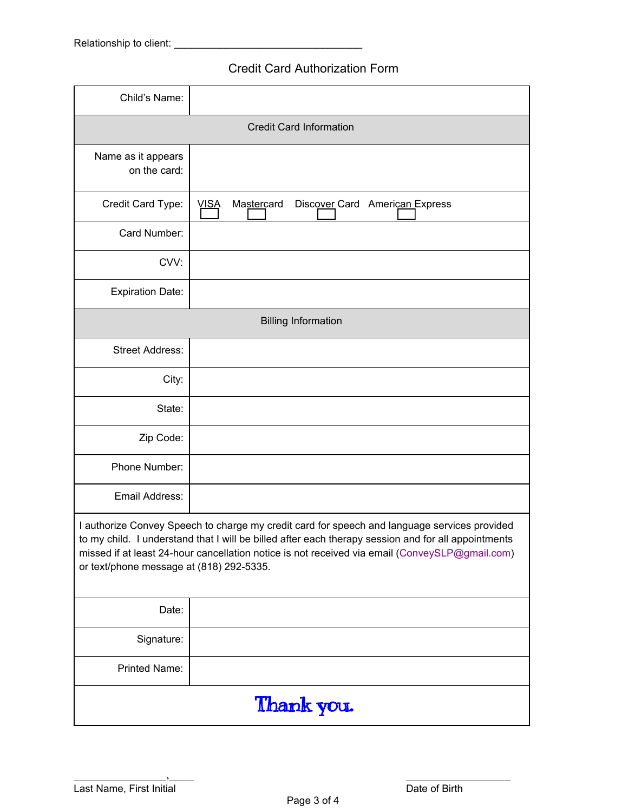# Credit Card Authorization Form

| Child's Name:                                                                                                                                                                                                                                                                                                                                     |                                                             |  |
|---------------------------------------------------------------------------------------------------------------------------------------------------------------------------------------------------------------------------------------------------------------------------------------------------------------------------------------------------|-------------------------------------------------------------|--|
| <b>Credit Card Information</b>                                                                                                                                                                                                                                                                                                                    |                                                             |  |
| Name as it appears<br>on the card:                                                                                                                                                                                                                                                                                                                |                                                             |  |
| Credit Card Type:                                                                                                                                                                                                                                                                                                                                 | <b>VISA</b><br>Mastercard<br>Discover Card American Express |  |
| Card Number:                                                                                                                                                                                                                                                                                                                                      |                                                             |  |
| CVV:                                                                                                                                                                                                                                                                                                                                              |                                                             |  |
| <b>Expiration Date:</b>                                                                                                                                                                                                                                                                                                                           |                                                             |  |
| <b>Billing Information</b>                                                                                                                                                                                                                                                                                                                        |                                                             |  |
| <b>Street Address:</b>                                                                                                                                                                                                                                                                                                                            |                                                             |  |
| City:                                                                                                                                                                                                                                                                                                                                             |                                                             |  |
| State:                                                                                                                                                                                                                                                                                                                                            |                                                             |  |
| Zip Code:                                                                                                                                                                                                                                                                                                                                         |                                                             |  |
| Phone Number:                                                                                                                                                                                                                                                                                                                                     |                                                             |  |
| Email Address:                                                                                                                                                                                                                                                                                                                                    |                                                             |  |
| I authorize Convey Speech to charge my credit card for speech and language services provided<br>to my child. I understand that I will be billed after each therapy session and for all appointments<br>missed if at least 24-hour cancellation notice is not received via email (ConveySLP@gmail.com)<br>or text/phone message at (818) 292-5335. |                                                             |  |
| Date:                                                                                                                                                                                                                                                                                                                                             |                                                             |  |
| Signature:                                                                                                                                                                                                                                                                                                                                        |                                                             |  |
| Printed Name:                                                                                                                                                                                                                                                                                                                                     |                                                             |  |
| Thank you.                                                                                                                                                                                                                                                                                                                                        |                                                             |  |